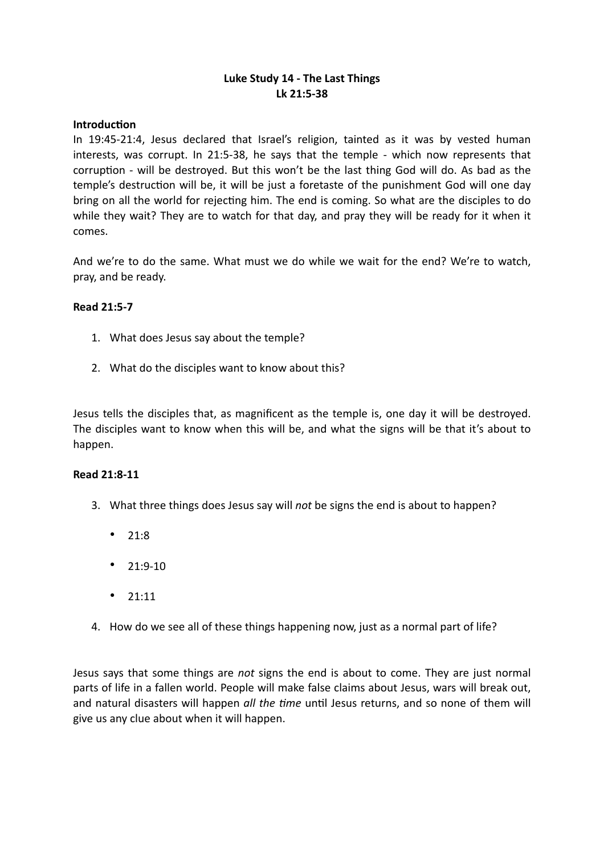# **Luke Study 14 - The Last Things Lk 21:5-38**

#### **Introduction**

In 19:45-21:4, Jesus declared that Israel's religion, tainted as it was by vested human interests, was corrupt. In 21:5-38, he says that the temple - which now represents that corruption - will be destroyed. But this won't be the last thing God will do. As bad as the temple's destruction will be, it will be just a foretaste of the punishment God will one day bring on all the world for rejecting him. The end is coming. So what are the disciples to do while they wait? They are to watch for that day, and pray they will be ready for it when it comes.

And we're to do the same. What must we do while we wait for the end? We're to watch, pray, and be ready.

#### **Read 21:5-7**

- 1. What does Jesus say about the temple?
- 2. What do the disciples want to know about this?

Jesus tells the disciples that, as magnificent as the temple is, one day it will be destroyed. The disciples want to know when this will be, and what the signs will be that it's about to happen.

### **Read 21:8-11**

- 3. What three things does Jesus say will *not* be signs the end is about to happen?
	- 21:8
	- 21:9-10
	- 21:11
- 4. How do we see all of these things happening now, just as a normal part of life?

Jesus says that some things are *not* signs the end is about to come. They are just normal parts of life in a fallen world. People will make false claims about Jesus, wars will break out, and natural disasters will happen *all the time* until Jesus returns, and so none of them will give us any clue about when it will happen.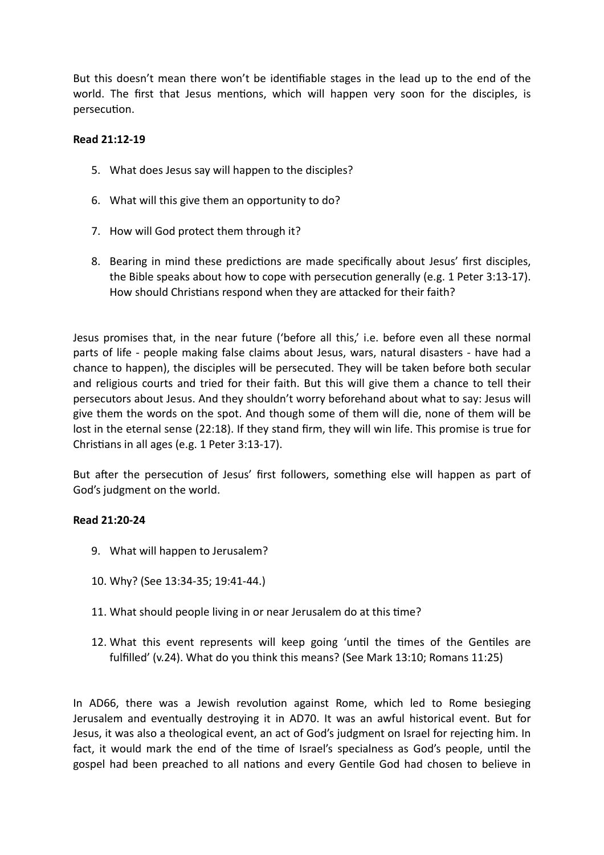But this doesn't mean there won't be identifiable stages in the lead up to the end of the world. The first that Jesus mentions, which will happen very soon for the disciples, is persecution.

# **Read 21:12-19**

- 5. What does Jesus say will happen to the disciples?
- 6. What will this give them an opportunity to do?
- 7. How will God protect them through it?
- 8. Bearing in mind these predictions are made specifically about Jesus' first disciples, the Bible speaks about how to cope with persecution generally (e.g. 1 Peter 3:13-17). How should Christians respond when they are attacked for their faith?

Jesus promises that, in the near future ('before all this,' i.e. before even all these normal parts of life - people making false claims about Jesus, wars, natural disasters - have had a chance to happen), the disciples will be persecuted. They will be taken before both secular and religious courts and tried for their faith. But this will give them a chance to tell their persecutors about Jesus. And they shouldn't worry beforehand about what to say: Jesus will give them the words on the spot. And though some of them will die, none of them will be lost in the eternal sense (22:18). If they stand firm, they will win life. This promise is true for Christians in all ages (e.g. 1 Peter 3:13-17).

But after the persecution of Jesus' first followers, something else will happen as part of God's judgment on the world.

### **Read 21:20-24**

- 9. What will happen to Jerusalem?
- 10. Why? (See 13:34-35; 19:41-44.)
- 11. What should people living in or near Jerusalem do at this time?
- 12. What this event represents will keep going 'until the times of the Gentiles are fulfilled' (v.24). What do you think this means? (See Mark 13:10; Romans 11:25)

In AD66, there was a Jewish revolution against Rome, which led to Rome besieging Jerusalem and eventually destroying it in AD70. It was an awful historical event. But for Jesus, it was also a theological event, an act of God's judgment on Israel for rejecting him. In fact, it would mark the end of the time of Israel's specialness as God's people, until the gospel had been preached to all nations and every Gentile God had chosen to believe in